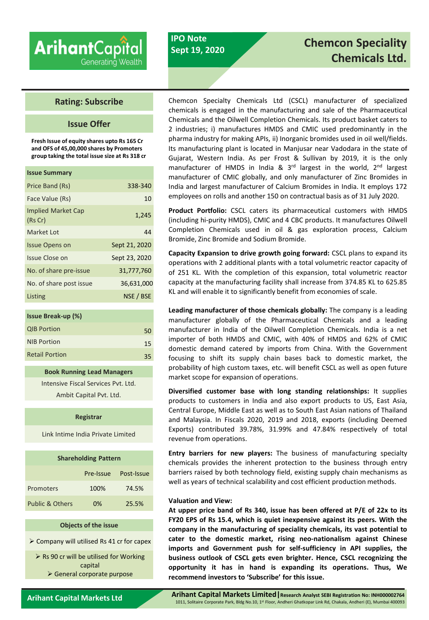# **Arihant**Capital Generating Wealth

# **IPO Note Sept 19, 2020**

# **Chemcon Speciality Chemicals Ltd.**

# **Rating: Subscribe**

# **Issue Offer**

**Fresh Issue of equity shares upto Rs 165 Cr and OFS of 45,00,000 shares by Promoters group taking the total issue size at Rs 318 cr**

| <b>Issue Summary</b>                 |               |
|--------------------------------------|---------------|
| Price Band (Rs)                      | 338-340       |
| Face Value (Rs)                      | 10            |
| <b>Implied Market Cap</b><br>(Rs Cr) | 1,245         |
| Market Lot                           | 44            |
| <b>Issue Opens on</b>                | Sept 21, 2020 |
| Issue Close on                       | Sept 23, 2020 |
| No. of share pre-issue               | 31,777,760    |
| No. of share post issue              | 36,631,000    |
| Listing                              | NSE / BSE     |

| <b>Issue Break-up (%)</b> |    |
|---------------------------|----|
| <b>QIB Portion</b>        | 50 |
| <b>NIB Portion</b>        | 15 |
| <b>Retail Portion</b>     | 35 |

**Book Running Lead Managers** Intensive Fiscal Services Pvt. Ltd. Ambit Capital Pvt. Ltd.

#### **Registrar**

Link Intime India Private Limited

| <b>Shareholding Pattern</b> |           |            |  |  |
|-----------------------------|-----------|------------|--|--|
|                             | Pre-Issue | Post-Issue |  |  |
| Promoters                   | 100%      | 74.5%      |  |  |
| <b>Public &amp; Others</b>  | በ%        | 25.5%      |  |  |

#### **Objects of the issue**

➢ Company will utilised Rs 41 cr for capex

➢ Rs 90 cr will be utilised for Working capital ➢ General corporate purpose

Chemcon Specialty Chemicals Ltd (CSCL) manufacturer of specialized chemicals is engaged in the manufacturing and sale of the Pharmaceutical Chemicals and the Oilwell Completion Chemicals. Its product basket caters to 2 industries; i) manufactures HMDS and CMIC used predominantly in the pharma industry for making APIs, ii) Inorganic bromides used in oil well/fields. Its manufacturing plant is located in Manjusar near Vadodara in the state of Gujarat, Western India. As per Frost & Sullivan by 2019, it is the only manufacturer of HMDS in India & 3<sup>rd</sup> largest in the world, 2<sup>nd</sup> largest manufacturer of CMIC globally, and only manufacturer of Zinc Bromides in India and largest manufacturer of Calcium Bromides in India. It employs 172 employees on rolls and another 150 on contractual basis as of 31 July 2020.

**Product Portfolio:** CSCL caters its pharmaceutical customers with HMDS (including hi-purity HMDS), CMIC and 4 CBC products. It manufactures Oilwell Completion Chemicals used in oil & gas exploration process, Calcium Bromide, Zinc Bromide and Sodium Bromide.

**Capacity Expansion to drive growth going forward:** CSCL plans to expand its operations with 2 additional plants with a total volumetric reactor capacity of of 251 KL. With the completion of this expansion, total volumetric reactor capacity at the manufacturing facility shall increase from 374.85 KL to 625.85 KL and will enable it to significantly benefit from economies of scale.

**Leading manufacturer of those chemicals globally:** The company is a leading manufacturer globally of the Pharmaceutical Chemicals and a leading manufacturer in India of the Oilwell Completion Chemicals. India is a net importer of both HMDS and CMIC, with 40% of HMDS and 62% of CMIC domestic demand catered by imports from China. With the Government focusing to shift its supply chain bases back to domestic market, the probability of high custom taxes, etc. will benefit CSCL as well as open future market scope for expansion of operations.

**Diversified customer base with long standing relationships:** It supplies products to customers in India and also export products to US, East Asia, Central Europe, Middle East as well as to South East Asian nations of Thailand and Malaysia. In Fiscals 2020, 2019 and 2018, exports (including Deemed Exports) contributed 39.78%, 31.99% and 47.84% respectively of total revenue from operations.

**Entry barriers for new players:** The business of manufacturing specialty chemicals provides the inherent protection to the business through entry barriers raised by both technology field, existing supply chain mechanisms as well as years of technical scalability and cost efficient production methods.

#### **Valuation and View:**

**At upper price band of Rs 340, issue has been offered at P/E of 22x to its FY20 EPS of Rs 15.4, which is quiet inexpensive against its peers. With the company in the manufacturing of speciality chemicals, its vast potential to cater to the domestic market, rising neo-nationalism against Chinese imports and Government push for self-sufficiency in API supplies, the business outlook of CSCL gets even brighter. Hence, CSCL recognizing the opportunity it has in hand is expanding its operations. Thus, We recommend investors to 'Subscribe' for this issue.**

**Arihant Capital Markets Ltd**

**Arihant Capital Markets Limited|Research Analyst SEBI Registration No: INH000002764** 1011, Solitaire Corporate Park, Bldg No.10, 1<sup>st</sup> Floor, Andheri Ghatkopar Link Rd, Chakala, Andheri (E), Mumbai 400093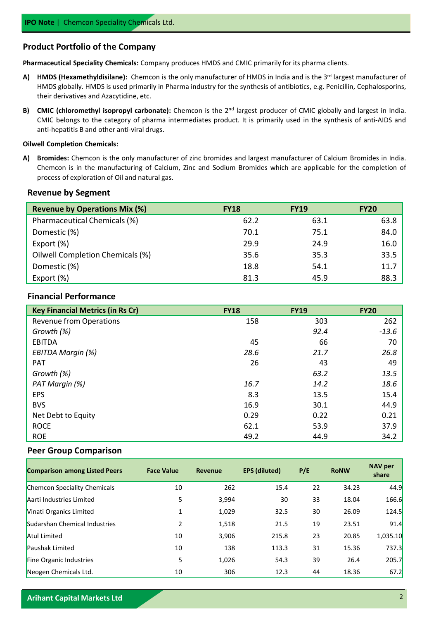## **Product Portfolio of the Company**

**Pharmaceutical Speciality Chemicals:** Company produces HMDS and CMIC primarily for its pharma clients.

- A) HMDS (Hexamethyldisilane): Chemcon is the only manufacturer of HMDS in India and is the 3<sup>rd</sup> largest manufacturer of HMDS globally. HMDS is used primarily in Pharma industry for the synthesis of antibiotics, e.g. Penicillin, Cephalosporins, their derivatives and Azacytidine, etc.
- B) CMIC (chloromethyl isopropyl carbonate): Chemcon is the 2<sup>nd</sup> largest producer of CMIC globally and largest in India. CMIC belongs to the category of pharma intermediates product. It is primarily used in the synthesis of anti-AIDS and anti-hepatitis B and other anti-viral drugs.

#### **Oilwell Completion Chemicals:**

**A) Bromides:** Chemcon is the only manufacturer of zinc bromides and largest manufacturer of Calcium Bromides in India. Chemcon is in the manufacturing of Calcium, Zinc and Sodium Bromides which are applicable for the completion of process of exploration of Oil and natural gas.

### **Revenue by Segment**

| <b>Revenue by Operations Mix (%)</b> | <b>FY18</b> | <b>FY19</b> | <b>FY20</b> |
|--------------------------------------|-------------|-------------|-------------|
| Pharmaceutical Chemicals (%)         | 62.2        | 63.1        | 63.8        |
| Domestic (%)                         | 70.1        | 75.1        | 84.0        |
| Export (%)                           | 29.9        | 24.9        | 16.0        |
| Oilwell Completion Chemicals (%)     | 35.6        | 35.3        | 33.5        |
| Domestic (%)                         | 18.8        | 54.1        | 11.7        |
| Export (%)                           | 81.3        | 45.9        | 88.3        |

## **Financial Performance**

| <b>Key Financial Metrics (in Rs Cr)</b> | <b>FY18</b> | <b>FY19</b> | <b>FY20</b> |
|-----------------------------------------|-------------|-------------|-------------|
| Revenue from Operations                 | 158         | 303         | 262         |
| Growth (%)                              |             | 92.4        | $-13.6$     |
| <b>EBITDA</b>                           | 45          | 66          | 70          |
| EBITDA Margin (%)                       | 28.6        | 21.7        | 26.8        |
| <b>PAT</b>                              | 26          | 43          | 49          |
| Growth (%)                              |             | 63.2        | 13.5        |
| PAT Margin (%)                          | 16.7        | 14.2        | 18.6        |
| <b>EPS</b>                              | 8.3         | 13.5        | 15.4        |
| <b>BVS</b>                              | 16.9        | 30.1        | 44.9        |
| Net Debt to Equity                      | 0.29        | 0.22        | 0.21        |
| <b>ROCE</b>                             | 62.1        | 53.9        | 37.9        |
| <b>ROE</b>                              | 49.2        | 44.9        | 34.2        |

#### **Peer Group Comparison**

| <b>Comparison among Listed Peers</b> | <b>Face Value</b> | <b>Revenue</b> | <b>EPS (diluted)</b> | P/E | <b>RoNW</b> | <b>NAV per</b><br>share |
|--------------------------------------|-------------------|----------------|----------------------|-----|-------------|-------------------------|
| <b>Chemcon Speciality Chemicals</b>  | 10                | 262            | 15.4                 | 22  | 34.23       | 44.9                    |
| Aarti Industries Limited             | 5                 | 3,994          | 30                   | 33  | 18.04       | 166.6                   |
| Vinati Organics Limited              | 1                 | 1,029          | 32.5                 | 30  | 26.09       | <b>124.5</b>            |
| Sudarshan Chemical Industries        | 2                 | 1,518          | 21.5                 | 19  | 23.51       | 91.4                    |
| <b>Atul Limited</b>                  | 10                | 3,906          | 215.8                | 23  | 20.85       | 1,035.10                |
| <b>Paushak Limited</b>               | 10                | 138            | 113.3                | 31  | 15.36       | <b>737.3</b>            |
| Fine Organic Industries              | 5                 | 1,026          | 54.3                 | 39  | 26.4        | 205.7                   |
| Neogen Chemicals Ltd.                | 10                | 306            | 12.3                 | 44  | 18.36       | 67.2                    |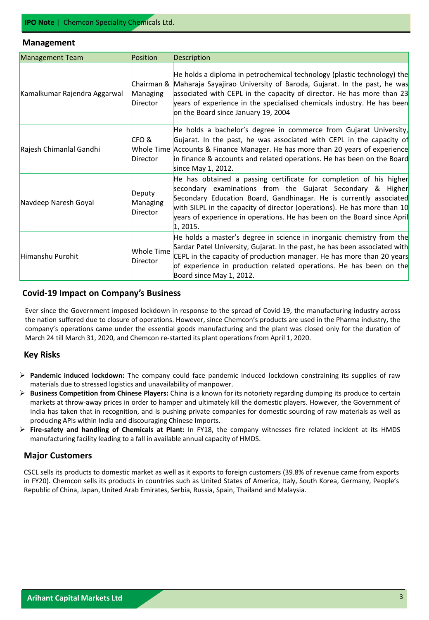#### **Management**

| <b>Management Team</b>       | <b>Position</b>                | Description                                                                                                                                                                                                                                                                                                                                                              |
|------------------------------|--------------------------------|--------------------------------------------------------------------------------------------------------------------------------------------------------------------------------------------------------------------------------------------------------------------------------------------------------------------------------------------------------------------------|
| Kamalkumar Rajendra Aggarwal | Managing<br><b>Director</b>    | $ He$ holds a diploma in petrochemical technology (plastic technology) the<br>Chairman & Maharaja Sayajirao University of Baroda, Gujarat. In the past, he was<br>associated with CEPL in the capacity of director. He has more than $23$<br>years of experience in the specialised chemicals industry. He has been<br>on the Board since January 19, 2004               |
| Rajesh Chimanlal Gandhi      | CFO &<br>Director              | He holds a bachelor's degree in commerce from Gujarat University,<br>Gujarat. In the past, he was associated with CEPL in the capacity of<br>Whole Time Accounts & Finance Manager. He has more than 20 years of experience<br>in finance & accounts and related operations. He has been on the Board<br>since May 1, 2012.                                              |
| Navdeep Naresh Goyal         | Deputy<br>Managing<br>Director | He has obtained a passing certificate for completion of his higher<br>secondary examinations from the Gujarat Secondary & Higher<br>Secondary Education Board, Gandhinagar. He is currently associated<br>with SILPL in the capacity of director (operations). He has more than 10<br>years of experience in operations. He has been on the Board since April<br>1,2015. |
| Himanshu Purohit             | Whole Time<br>Director         | He holds a master's degree in science in inorganic chemistry from the<br>Sardar Patel University, Gujarat. In the past, he has been associated with<br>CEPL in the capacity of production manager. He has more than 20 years<br>of experience in production related operations. He has been on the<br>Board since May 1, 2012.                                           |

#### **Covid-19 Impact on Company's Business**

Ever since the Government imposed lockdown in response to the spread of Covid-19, the manufacturing industry across the nation suffered due to closure of operations. However, since Chemcon's products are used in the Pharma industry, the company's operations came under the essential goods manufacturing and the plant was closed only for the duration of March 24 till March 31, 2020, and Chemcon re-started its plant operationsfrom April 1, 2020.

## **Key Risks**

- ➢ **Pandemic induced lockdown:** The company could face pandemic induced lockdown constraining its supplies of raw materials due to stressed logistics and unavailability of manpower.
- ➢ **Business Competition from Chinese Players:** China is a known for its notoriety regarding dumping its produce to certain markets at throw-away prices in order to hamper and ultimately kill the domestic players. However, the Government of India has taken that in recognition, and is pushing private companies for domestic sourcing of raw materials as well as producing APIs within India and discouraging Chinese Imports.
- ➢ **Fire-safety and handling of Chemicals at Plant:** In FY18, the company witnesses fire related incident at its HMDS manufacturing facility leading to a fall in available annual capacity of HMDS.

## **Major Customers**

CSCL sells its products to domestic market as well as it exports to foreign customers (39.8% of revenue came from exports in FY20). Chemcon sells its products in countries such as United States of America, Italy, South Korea, Germany, People's Republic of China, Japan, United Arab Emirates, Serbia, Russia, Spain, Thailand and Malaysia.